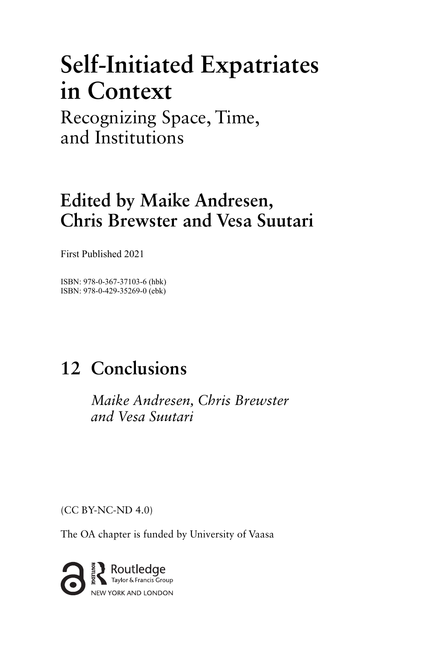# **Self-Initiated Expatriates in Context**

Recognizing Space, Time, and Institutions

### **Edited by Maike Andresen, Chris Brewster and Vesa Suutari**

First Published 2021

ISBN: 978-0-367-37103-6 (hbk) ISBN: 978-0-429-35269-0 (ebk)

## 12 Conclusions

*Maike Andresen, Chris Brewster and Vesa Suutari* 

(CC BY-NC-ND 4.0)

The OA chapter is funded by University of Vaasa

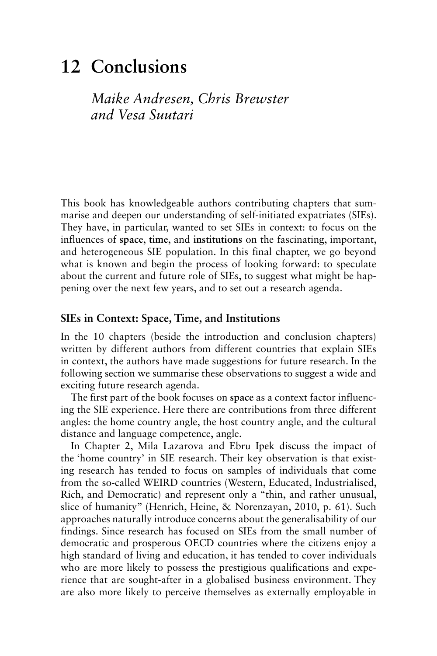### 12 Conclusions

*Maike Andresen, Chris Brewster and Vesa Suutari* 

This book has knowledgeable authors contributing chapters that summarise and deepen our understanding of self-initiated expatriates (SIEs). They have, in particular, wanted to set SIEs in context: to focus on the influences of **space**, **time**, and **institutions** on the fascinating, important, and heterogeneous SIE population. In this final chapter, we go beyond what is known and begin the process of looking forward: to speculate about the current and future role of SIEs, to suggest what might be happening over the next few years, and to set out a research agenda.

#### **SIEs in Context: Space, Time, and Institutions**

In the 10 chapters (beside the introduction and conclusion chapters) written by different authors from different countries that explain SIEs in context, the authors have made suggestions for future research. In the following section we summarise these observations to suggest a wide and exciting future research agenda.

The first part of the book focuses on **space** as a context factor influencing the SIE experience. Here there are contributions from three different angles: the home country angle, the host country angle, and the cultural distance and language competence, angle.

In Chapter 2, Mila Lazarova and Ebru Ipek discuss the impact of the 'home country' in SIE research. Their key observation is that existing research has tended to focus on samples of individuals that come from the so-called WEIRD countries (Western, Educated, Industrialised, Rich, and Democratic) and represent only a "thin, and rather unusual, slice of humanity" (Henrich, Heine, & Norenzayan, 2010, p. 61). Such approaches naturally introduce concerns about the generalisability of our findings. Since research has focused on SIEs from the small number of democratic and prosperous OECD countries where the citizens enjoy a high standard of living and education, it has tended to cover individuals who are more likely to possess the prestigious qualifications and experience that are sought-after in a globalised business environment. They are also more likely to perceive themselves as externally employable in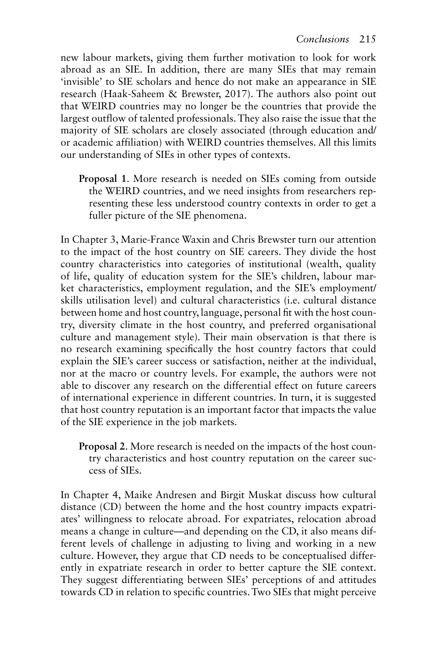new labour markets, giving them further motivation to look for work abroad as an SIE. In addition, there are many SIEs that may remain 'invisible' to SIE scholars and hence do not make an appearance in SIE research (Haak-Saheem & Brewster, 2017). The authors also point out that WEIRD countries may no longer be the countries that provide the largest outflow of talented professionals. They also raise the issue that the majority of SIE scholars are closely associated (through education and/ or academic affiliation) with WEIRD countries themselves. All this limits our understanding of SIEs in other types of contexts.

**Proposal 1**. More research is needed on SIEs coming from outside the WEIRD countries, and we need insights from researchers representing these less understood country contexts in order to get a fuller picture of the SIE phenomena.

In Chapter 3, Marie-France Waxin and Chris Brewster turn our attention to the impact of the host country on SIE careers. They divide the host country characteristics into categories of institutional (wealth, quality of life, quality of education system for the SIE's children, labour market characteristics, employment regulation, and the SIE's employment/ skills utilisation level) and cultural characteristics (i.e. cultural distance between home and host country, language, personal fit with the host country, diversity climate in the host country, and preferred organisational culture and management style). Their main observation is that there is no research examining specifically the host country factors that could explain the SIE's career success or satisfaction, neither at the individual, nor at the macro or country levels. For example, the authors were not able to discover any research on the differential effect on future careers of international experience in different countries. In turn, it is suggested that host country reputation is an important factor that impacts the value of the SIE experience in the job markets.

**Proposal 2**. More research is needed on the impacts of the host country characteristics and host country reputation on the career success of SIEs.

In Chapter 4, Maike Andresen and Birgit Muskat discuss how cultural distance (CD) between the home and the host country impacts expatriates' willingness to relocate abroad. For expatriates, relocation abroad means a change in culture—and depending on the CD, it also means different levels of challenge in adjusting to living and working in a new culture. However, they argue that CD needs to be conceptualised differently in expatriate research in order to better capture the SIE context. They suggest differentiating between SIEs' perceptions of and attitudes towards CD in relation to specific countries. Two SIEs that might perceive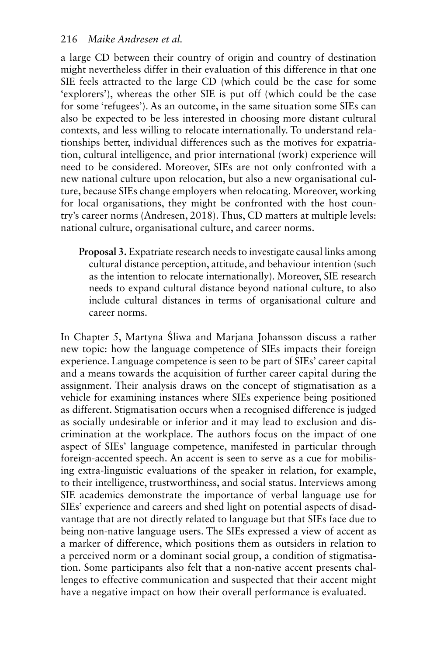a large CD between their country of origin and country of destination might nevertheless differ in their evaluation of this difference in that one SIE feels attracted to the large CD (which could be the case for some 'explorers'), whereas the other SIE is put off (which could be the case for some 'refugees'). As an outcome, in the same situation some SIEs can also be expected to be less interested in choosing more distant cultural contexts, and less willing to relocate internationally. To understand relationships better, individual differences such as the motives for expatriation, cultural intelligence, and prior international (work) experience will need to be considered. Moreover, SIEs are not only confronted with a new national culture upon relocation, but also a new organisational culture, because SIEs change employers when relocating. Moreover, working for local organisations, they might be confronted with the host country's career norms (Andresen, 2018). Thus, CD matters at multiple levels: national culture, organisational culture, and career norms.

**Proposal 3.** Expatriate research needs to investigate causal links among cultural distance perception, attitude, and behaviour intention (such as the intention to relocate internationally). Moreover, SIE research needs to expand cultural distance beyond national culture, to also include cultural distances in terms of organisational culture and career norms.

In Chapter 5, Martyna Śliwa and Marjana Johansson discuss a rather new topic: how the language competence of SIEs impacts their foreign experience. Language competence is seen to be part of SIEs' career capital and a means towards the acquisition of further career capital during the assignment. Their analysis draws on the concept of stigmatisation as a vehicle for examining instances where SIEs experience being positioned as different. Stigmatisation occurs when a recognised difference is judged as socially undesirable or inferior and it may lead to exclusion and discrimination at the workplace. The authors focus on the impact of one aspect of SIEs' language competence, manifested in particular through foreign-accented speech. An accent is seen to serve as a cue for mobilising extra-linguistic evaluations of the speaker in relation, for example, to their intelligence, trustworthiness, and social status. Interviews among SIE academics demonstrate the importance of verbal language use for SIEs' experience and careers and shed light on potential aspects of disadvantage that are not directly related to language but that SIEs face due to being non-native language users. The SIEs expressed a view of accent as a marker of difference, which positions them as outsiders in relation to a perceived norm or a dominant social group, a condition of stigmatisation. Some participants also felt that a non-native accent presents challenges to effective communication and suspected that their accent might have a negative impact on how their overall performance is evaluated.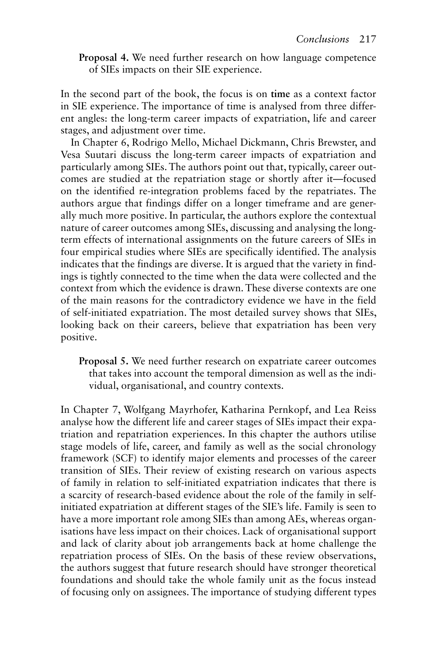**Proposal 4.** We need further research on how language competence of SIEs impacts on their SIE experience.

In the second part of the book, the focus is on **time** as a context factor in SIE experience. The importance of time is analysed from three different angles: the long-term career impacts of expatriation, life and career stages, and adjustment over time.

In Chapter 6, Rodrigo Mello, Michael Dickmann, Chris Brewster, and Vesa Suutari discuss the long-term career impacts of expatriation and particularly among SIEs. The authors point out that, typically, career outcomes are studied at the repatriation stage or shortly after it—focused on the identified re-integration problems faced by the repatriates. The authors argue that findings differ on a longer timeframe and are generally much more positive. In particular, the authors explore the contextual nature of career outcomes among SIEs, discussing and analysing the longterm effects of international assignments on the future careers of SIEs in four empirical studies where SIEs are specifically identified. The analysis indicates that the findings are diverse. It is argued that the variety in findings is tightly connected to the time when the data were collected and the context from which the evidence is drawn. These diverse contexts are one of the main reasons for the contradictory evidence we have in the field of self-initiated expatriation. The most detailed survey shows that SIEs, looking back on their careers, believe that expatriation has been very positive.

**Proposal 5.** We need further research on expatriate career outcomes that takes into account the temporal dimension as well as the individual, organisational, and country contexts.

In Chapter 7, Wolfgang Mayrhofer, Katharina Pernkopf, and Lea Reiss analyse how the different life and career stages of SIEs impact their expatriation and repatriation experiences. In this chapter the authors utilise stage models of life, career, and family as well as the social chronology framework (SCF) to identify major elements and processes of the career transition of SIEs. Their review of existing research on various aspects of family in relation to self-initiated expatriation indicates that there is a scarcity of research-based evidence about the role of the family in selfinitiated expatriation at different stages of the SIE's life. Family is seen to have a more important role among SIEs than among AEs, whereas organisations have less impact on their choices. Lack of organisational support and lack of clarity about job arrangements back at home challenge the repatriation process of SIEs. On the basis of these review observations, the authors suggest that future research should have stronger theoretical foundations and should take the whole family unit as the focus instead of focusing only on assignees. The importance of studying different types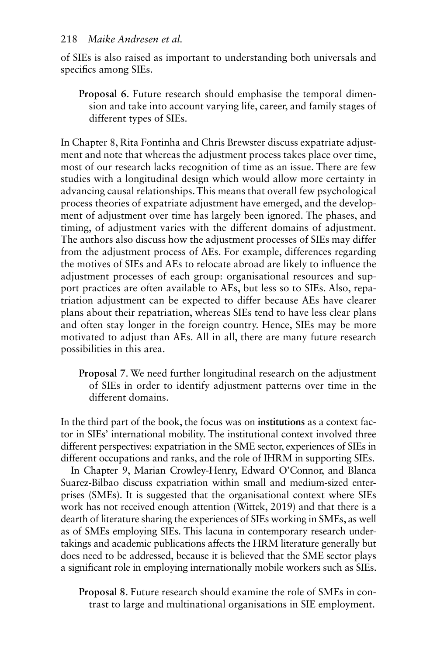of SIEs is also raised as important to understanding both universals and specifics among SIEs.

**Proposal 6**. Future research should emphasise the temporal dimension and take into account varying life, career, and family stages of different types of SIEs.

In Chapter 8, Rita Fontinha and Chris Brewster discuss expatriate adjustment and note that whereas the adjustment process takes place over time, most of our research lacks recognition of time as an issue. There are few studies with a longitudinal design which would allow more certainty in advancing causal relationships. This means that overall few psychological process theories of expatriate adjustment have emerged, and the development of adjustment over time has largely been ignored. The phases, and timing, of adjustment varies with the different domains of adjustment. The authors also discuss how the adjustment processes of SIEs may differ from the adjustment process of AEs. For example, differences regarding the motives of SIEs and AEs to relocate abroad are likely to influence the adjustment processes of each group: organisational resources and support practices are often available to AEs, but less so to SIEs. Also, repatriation adjustment can be expected to differ because AEs have clearer plans about their repatriation, whereas SIEs tend to have less clear plans and often stay longer in the foreign country. Hence, SIEs may be more motivated to adjust than AEs. All in all, there are many future research possibilities in this area.

**Proposal 7**. We need further longitudinal research on the adjustment of SIEs in order to identify adjustment patterns over time in the different domains.

In the third part of the book, the focus was on **institutions** as a context factor in SIEs' international mobility. The institutional context involved three different perspectives: expatriation in the SME sector, experiences of SIEs in different occupations and ranks, and the role of IHRM in supporting SIEs.

In Chapter 9, Marian Crowley-Henry, Edward O'Connor, and Blanca Suarez-Bilbao discuss expatriation within small and medium-sized enterprises (SMEs). It is suggested that the organisational context where SIEs work has not received enough attention (Wittek, 2019) and that there is a dearth of literature sharing the experiences of SIEs working in SMEs, as well as of SMEs employing SIEs. This lacuna in contemporary research undertakings and academic publications affects the HRM literature generally but does need to be addressed, because it is believed that the SME sector plays a significant role in employing internationally mobile workers such as SIEs.

**Proposal 8**. Future research should examine the role of SMEs in contrast to large and multinational organisations in SIE employment.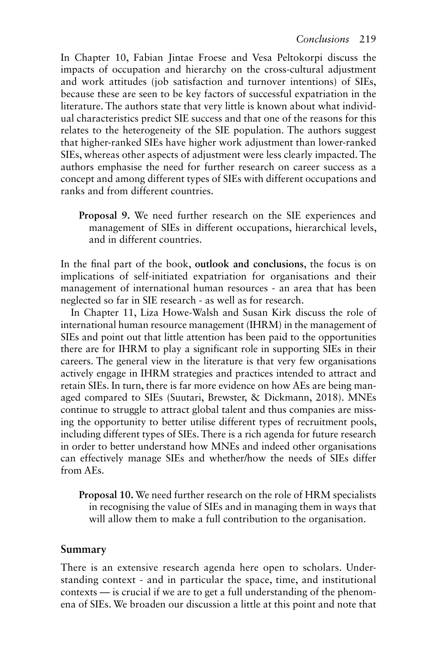In Chapter 10, Fabian Jintae Froese and Vesa Peltokorpi discuss the impacts of occupation and hierarchy on the cross-cultural adjustment and work attitudes (job satisfaction and turnover intentions) of SIEs, because these are seen to be key factors of successful expatriation in the literature. The authors state that very little is known about what individual characteristics predict SIE success and that one of the reasons for this relates to the heterogeneity of the SIE population. The authors suggest that higher-ranked SIEs have higher work adjustment than lower-ranked SIEs, whereas other aspects of adjustment were less clearly impacted. The authors emphasise the need for further research on career success as a concept and among different types of SIEs with different occupations and ranks and from different countries.

**Proposal 9.** We need further research on the SIE experiences and management of SIEs in different occupations, hierarchical levels, and in different countries.

In the final part of the book, **outlook and conclusions**, the focus is on implications of self-initiated expatriation for organisations and their management of international human resources - an area that has been neglected so far in SIE research - as well as for research.

In Chapter 11, Liza Howe-Walsh and Susan Kirk discuss the role of international human resource management (IHRM) in the management of SIEs and point out that little attention has been paid to the opportunities there are for IHRM to play a significant role in supporting SIEs in their careers. The general view in the literature is that very few organisations actively engage in IHRM strategies and practices intended to attract and retain SIEs. In turn, there is far more evidence on how AEs are being managed compared to SIEs (Suutari, Brewster, & Dickmann, 2018). MNEs continue to struggle to attract global talent and thus companies are missing the opportunity to better utilise different types of recruitment pools, including different types of SIEs. There is a rich agenda for future research in order to better understand how MNEs and indeed other organisations can effectively manage SIEs and whether/how the needs of SIEs differ from AEs.

**Proposal 10.** We need further research on the role of HRM specialists in recognising the value of SIEs and in managing them in ways that will allow them to make a full contribution to the organisation.

#### **Summary**

There is an extensive research agenda here open to scholars. Understanding context - and in particular the space, time, and institutional contexts — is crucial if we are to get a full understanding of the phenomena of SIEs. We broaden our discussion a little at this point and note that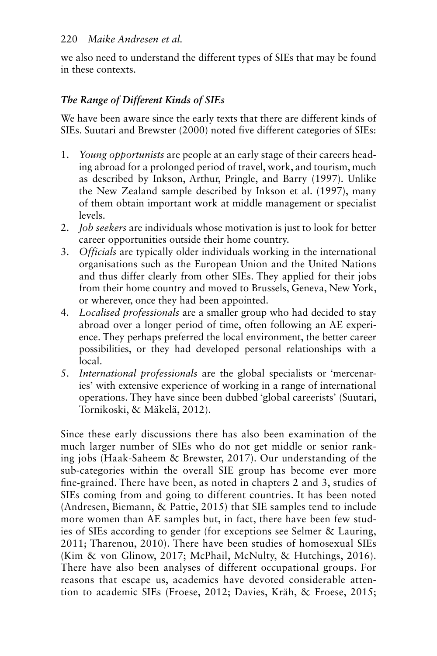we also need to understand the different types of SIEs that may be found in these contexts.

#### *The Range of Different Kinds of SIEs*

We have been aware since the early texts that there are different kinds of SIEs. Suutari and Brewster (2000) noted five different categories of SIEs:

- 1. *Young opportunists* are people at an early stage of their careers heading abroad for a prolonged period of travel, work, and tourism, much as described by Inkson, Arthur, Pringle, and Barry (1997). Unlike the New Zealand sample described by Inkson et al. (1997), many of them obtain important work at middle management or specialist levels.
- 2. *Job seekers* are individuals whose motivation is just to look for better career opportunities outside their home country.
- 3. *Officials* are typically older individuals working in the international organisations such as the European Union and the United Nations and thus differ clearly from other SIEs. They applied for their jobs from their home country and moved to Brussels, Geneva, New York, or wherever, once they had been appointed.
- 4. *Localised professionals* are a smaller group who had decided to stay abroad over a longer period of time, often following an AE experience. They perhaps preferred the local environment, the better career possibilities, or they had developed personal relationships with a local.
- 5. *International professionals* are the global specialists or 'mercenaries' with extensive experience of working in a range of international operations. They have since been dubbed 'global careerists' ( Suutari, Tornikoski, & Mäkelä, 2012).

Since these early discussions there has also been examination of the much larger number of SIEs who do not get middle or senior ranking jobs ( Haak-Saheem & Brewster, 2017 ). Our understanding of the sub-categories within the overall SIE group has become ever more fine-grained. There have been, as noted in chapters 2 and 3, studies of SIEs coming from and going to different countries. It has been noted ( Andresen, Biemann, & Pattie, 2015 ) that SIE samples tend to include more women than AE samples but, in fact, there have been few studies of SIEs according to gender (for exceptions see Selmer & Lauring, 2011; Tharenou, 2010). There have been studies of homosexual SIEs (Kim & von Glinow, 2017; McPhail, McNulty, & Hutchings, 2016). There have also been analyses of different occupational groups. For reasons that escape us, academics have devoted considerable attention to academic SIEs (Froese, 2012; Davies, Kräh, & Froese, 2015;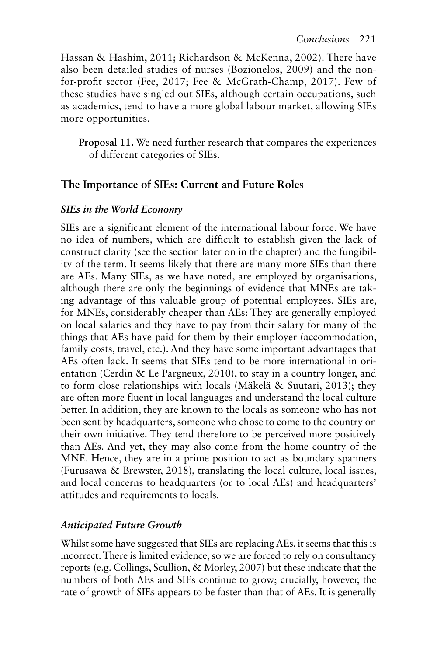Hassan & Hashim, 2011; Richardson & McKenna, 2002). There have also been detailed studies of nurses (Bozionelos, 2009) and the nonfor-profit sector (Fee, 2017; Fee & McGrath-Champ, 2017). Few of these studies have singled out SIEs, although certain occupations, such as academics, tend to have a more global labour market, allowing SIEs more opportunities.

**Proposal 11.** We need further research that compares the experiences of different categories of SIEs.

#### **The Importance of SIEs: Current and Future Roles**

#### *SIEs in the World Economy*

SIEs are a significant element of the international labour force. We have no idea of numbers, which are difficult to establish given the lack of construct clarity (see the section later on in the chapter) and the fungibility of the term. It seems likely that there are many more SIEs than there are AEs. Many SIEs, as we have noted, are employed by organisations, although there are only the beginnings of evidence that MNEs are taking advantage of this valuable group of potential employees. SIEs are, for MNEs, considerably cheaper than AEs: They are generally employed on local salaries and they have to pay from their salary for many of the things that AEs have paid for them by their employer (accommodation, family costs, travel, etc.). And they have some important advantages that AEs often lack. It seems that SIEs tend to be more international in orientation (Cerdin & Le Pargneux, 2010), to stay in a country longer, and to form close relationships with locals (Mäkelä & Suutari, 2013); they are often more fluent in local languages and understand the local culture better. In addition, they are known to the locals as someone who has not been sent by headquarters, someone who chose to come to the country on their own initiative. They tend therefore to be perceived more positively than AEs. And yet, they may also come from the home country of the MNE. Hence, they are in a prime position to act as boundary spanners (Furusawa  $\&$  Brewster, 2018), translating the local culture, local issues, and local concerns to headquarters (or to local AEs) and headquarters' attitudes and requirements to locals.

#### *Anticipated Future Growth*

Whilst some have suggested that SIEs are replacing AEs, it seems that this is incorrect. There is limited evidence, so we are forced to rely on consultancy reports (e.g. Collings, Scullion, & Morley, 2007 ) but these indicate that the numbers of both AEs and SIEs continue to grow; crucially, however, the rate of growth of SIEs appears to be faster than that of AEs. It is generally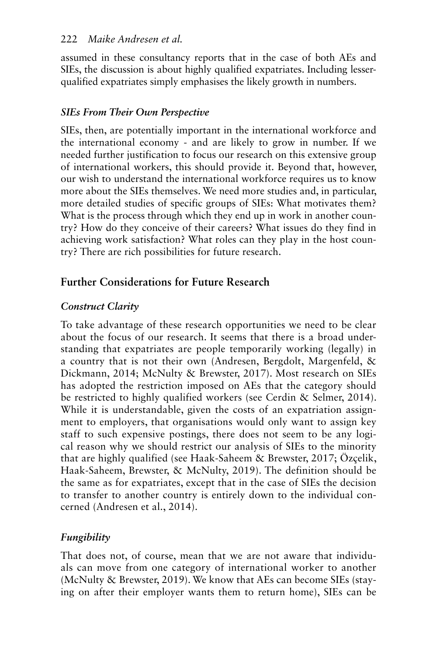#### 222 *Maike Andresen et al.*

assumed in these consultancy reports that in the case of both AEs and SIEs, the discussion is about highly qualified expatriates. Including lesserqualified expatriates simply emphasises the likely growth in numbers.

#### *SIEs From Their Own Perspective*

SIEs, then, are potentially important in the international workforce and the international economy - and are likely to grow in number. If we needed further justification to focus our research on this extensive group of international workers, this should provide it. Beyond that, however, our wish to understand the international workforce requires us to know more about the SIEs themselves. We need more studies and, in particular, more detailed studies of specific groups of SIEs: What motivates them? What is the process through which they end up in work in another country? How do they conceive of their careers? What issues do they find in achieving work satisfaction? What roles can they play in the host country? There are rich possibilities for future research.

#### **Further Considerations for Future Research**

#### *Construct Clarity*

To take advantage of these research opportunities we need to be clear about the focus of our research. It seems that there is a broad understanding that expatriates are people temporarily working (legally) in a country that is not their own (Andresen, Bergdolt, Margenfeld, & Dickmann, 2014; McNulty & Brewster, 2017). Most research on SIEs has adopted the restriction imposed on AEs that the category should be restricted to highly qualified workers (see Cerdin & Selmer, 2014). While it is understandable, given the costs of an expatriation assignment to employers, that organisations would only want to assign key staff to such expensive postings, there does not seem to be any logical reason why we should restrict our analysis of SIEs to the minority that are highly qualified (see Haak-Saheem & Brewster, 2017 ; Özçelik, Haak-Saheem, Brewster, & McNulty, 2019 ). The definition should be the same as for expatriates, except that in the case of SIEs the decision to transfer to another country is entirely down to the individual concerned (Andresen et al., 2014).

#### *Fungibility*

That does not, of course, mean that we are not aware that individuals can move from one category of international worker to another ( McNulty & Brewster, 2019 ). We know that AEs can become SIEs (staying on after their employer wants them to return home), SIEs can be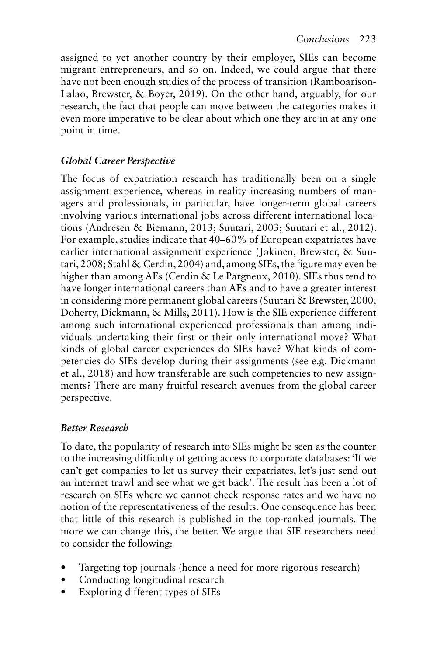assigned to yet another country by their employer, SIEs can become migrant entrepreneurs, and so on. Indeed, we could argue that there have not been enough studies of the process of transition (Ramboarison-Lalao, Brewster, & Boyer, 2019). On the other hand, arguably, for our research, the fact that people can move between the categories makes it even more imperative to be clear about which one they are in at any one point in time.

#### *Global Career Perspective*

The focus of expatriation research has traditionally been on a single assignment experience, whereas in reality increasing numbers of managers and professionals, in particular, have longer-term global careers involving various international jobs across different international locations (Andresen & Biemann, 2013; Suutari, 2003; Suutari et al., 2012). For example, studies indicate that 40–60% of European expatriates have earlier international assignment experience ( Jokinen, Brewster, & Suutari, 2008; Stahl & Cerdin, 2004) and, among SIEs, the figure may even be higher than among AEs (Cerdin & Le Pargneux, 2010). SIEs thus tend to have longer international careers than AEs and to have a greater interest in considering more permanent global careers (Suutari & Brewster, 2000; Doherty, Dickmann, & Mills, 2011). How is the SIE experience different among such international experienced professionals than among individuals undertaking their first or their only international move? What kinds of global career experiences do SIEs have? What kinds of competencies do SIEs develop during their assignments (see e.g. Dickmann et al., 2018 ) and how transferable are such competencies to new assignments? There are many fruitful research avenues from the global career perspective.

#### *Better Research*

To date, the popularity of research into SIEs might be seen as the counter to the increasing difficulty of getting access to corporate databases: 'If we can't get companies to let us survey their expatriates, let's just send out an internet trawl and see what we get back'. The result has been a lot of research on SIEs where we cannot check response rates and we have no notion of the representativeness of the results. One consequence has been that little of this research is published in the top-ranked journals. The more we can change this, the better. We argue that SIE researchers need to consider the following:

- Targeting top journals (hence a need for more rigorous research)
- Conducting longitudinal research
- Exploring different types of SIEs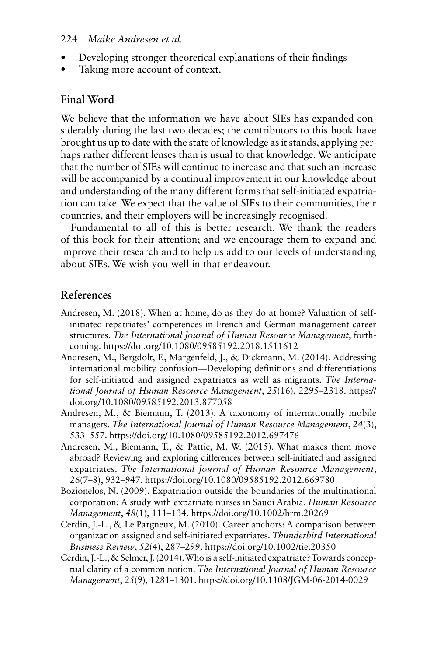#### 224 *Maike Andresen et al.*

- Developing stronger theoretical explanations of their findings
- Taking more account of context.

#### **Final Word**

We believe that the information we have about SIEs has expanded considerably during the last two decades; the contributors to this book have brought us up to date with the state of knowledge as it stands, applying perhaps rather different lenses than is usual to that knowledge. We anticipate that the number of SIEs will continue to increase and that such an increase will be accompanied by a continual improvement in our knowledge about and understanding of the many different forms that self-initiated expatriation can take. We expect that the value of SIEs to their communities, their countries, and their employers will be increasingly recognised.

Fundamental to all of this is better research. We thank the readers of this book for their attention; and we encourage them to expand and improve their research and to help us add to our levels of understanding about SIEs. We wish you well in that endeavour.

#### **References**

- Andresen, M. (2018). When at home, do as they do at home? Valuation of selfinitiated repatriates' competences in French and German management career structures. *The International Journal of Human Resource Management*, forthcoming. https://doi.org/10.1080/09585192.2018.1511612
- Andresen, M., Bergdolt, F., Margenfeld, J., & Dickmann, M. (2014). Addressing international mobility confusion—Developing definitions and differentiations for self-initiated and assigned expatriates as well as migrants. *The International Journal of Human Resource Management*, *25*(16), 2295–2318. https:// doi.org/10.1080/09585192.2013.877058
- Andresen, M., & Biemann, T. (2013). A taxonomy of internationally mobile managers. *The International Journal of Human Resource Management*, *24*(3), 533–557. https://doi.org/10.1080/09585192.2012.697476
- Andresen, M., Biemann, T., & Pattie, M. W. (2015). What makes them move abroad? Reviewing and exploring differences between self-initiated and assigned expatriates. *The International Journal of Human Resource Management*, *26*(7–8), 932–947. https://doi.org/10.1080/09585192.2012.669780
- Bozionelos, N. (2009). Expatriation outside the boundaries of the multinational corporation: A study with expatriate nurses in Saudi Arabia. *Human Resource Management*, *48*(1), 111–134. https://doi.org/10.1002/hrm.20269
- Cerdin, J.-L., & Le Pargneux, M. (2010). Career anchors: A comparison between organization assigned and self-initiated expatriates. *Thunderbird International Business Review*, *52*(4), 287–299. https://doi.org/10.1002/tie.20350
- Cerdin, J.-L., & Selmer, J. (2014). Who is a self-initiated expatriate? Towards conceptual clarity of a common notion. *The International Journal of Human Resource Management*, *25*(9), 1281–1301. https://doi.org/10.1108/JGM-06-2014-0029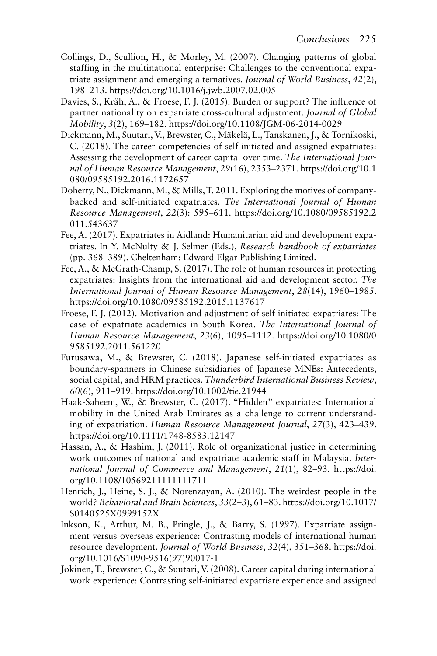- Collings, D., Scullion, H., & Morley, M. (2007). Changing patterns of global staffing in the multinational enterprise: Challenges to the conventional expatriate assignment and emerging alternatives. *Journal of World Business*, *42*(2), 198–213. https://doi.org/10.1016/j.jwb.2007.02.005
- Davies, S., Kräh, A., & Froese, F. J. (2015). Burden or support? The influence of partner nationality on expatriate cross-cultural adjustment. *Journal of Global Mobility*, *3*(2), 169–182. https://doi.org/10.1108/JGM-06-2014-0029
- Dickmann, M., Suutari, V., Brewster, C., Mäkelä, L., Tanskanen, J., & Tornikoski, C. (2018). The career competencies of self-initiated and assigned expatriates: Assessing the development of career capital over time. *The International Journal of Human Resource Management*, *29*(16), 2353–2371. https://doi.org/10.1 080/09585192.2016.1172657
- Doherty, N., Dickmann, M., & Mills, T. 2011. Exploring the motives of companybacked and self-initiated expatriates. *The International Journal of Human Resource Management*, *22*(3): 595–611. https://doi.org/10.1080/09585192.2 011.543637
- Fee, A. (2017). Expatriates in Aidland: Humanitarian aid and development expatriates. In Y. McNulty & J. Selmer (Eds.), *Research handbook of expatriates* (pp. 368–389). Cheltenham: Edward Elgar Publishing Limited.
- Fee, A., & McGrath-Champ, S. (2017). The role of human resources in protecting expatriates: Insights from the international aid and development sector. *The International Journal of Human Resource Management*, *28*(14), 1960–1985. https://doi.org/10.1080/09585192.2015.1137617
- Froese, F. J. (2012). Motivation and adjustment of self-initiated expatriates: The case of expatriate academics in South Korea. *The International Journal of Human Resource Management*, *23*(6), 1095–1112. https://doi.org/10.1080/0 9585192.2011.561220
- Furusawa, M., & Brewster, C. (2018). Japanese self-initiated expatriates as boundary-spanners in Chinese subsidiaries of Japanese MNEs: Antecedents, social capital, and HRM practices. *Thunderbird International Business Review*, *60*(6), 911–919. https://doi.org/10.1002/tie.21944
- Haak-Saheem, W., & Brewster, C. (2017). "Hidden" expatriates: International mobility in the United Arab Emirates as a challenge to current understanding of expatriation. *Human Resource Management Journal*, *27*(3), 423–439. https://doi.org/10.1111/1748-8583.12147
- Hassan, A., & Hashim, J. (2011). Role of organizational justice in determining work outcomes of national and expatriate academic staff in Malaysia. *International Journal of Commerce and Management*, *21*(1), 82–93. https://doi. org/10.1108/10569211111111711
- Henrich, J., Heine, S. J., & Norenzayan, A. (2010). The weirdest people in the world? *Behavioral and Brain Sciences*, *33*(2–3), 61–83. https://doi.org/10.1017/ S0140525X0999152X
- Inkson, K., Arthur, M. B., Pringle, J., & Barry, S. (1997). Expatriate assignment versus overseas experience: Contrasting models of international human resource development. *Journal of World Business*, *32*(4), 351–368. https://doi. org/10.1016/S1090-9516(97)90017-1
- Jokinen, T., Brewster, C., & Suutari, V. (2008). Career capital during international work experience: Contrasting self-initiated expatriate experience and assigned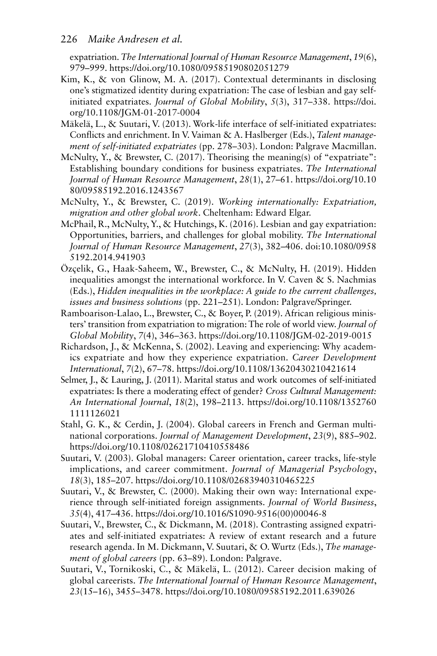#### 226 *Maike Andresen et al.*

expatriation. *The International Journal of Human Resource Management*, *19*(6), 979–999. https://doi.org/10.1080/09585190802051279

- Kim, K., & von Glinow, M. A. (2017). Contextual determinants in disclosing one's stigmatized identity during expatriation: The case of lesbian and gay selfinitiated expatriates. *Journal of Global Mobility*, *5*(3), 317–338. https://doi. org/10.1108/JGM-01-2017-0004
- Mäkelä, L., & Suutari, V. (2013). Work-life interface of self-initiated expatriates: Conflicts and enrichment. In V. Vaiman & A. Haslberger (Eds.), *Talent management of self-initiated expatriates* (pp. 278–303). London: Palgrave Macmillan.
- McNulty, Y., & Brewster, C. (2017). Theorising the meaning(s) of "expatriate": Establishing boundary conditions for business expatriates. *The International Journal of Human Resource Management*, *28*(1), 27–61. https://doi.org/10.10 80/09585192.2016.1243567
- McNulty, Y., & Brewster, C. (2019). *Working internationally: Expatriation, migration and other global work*. Cheltenham: Edward Elgar.
- McPhail, R., McNulty, Y., & Hutchings, K. (2016). Lesbian and gay expatriation: Opportunities, barriers, and challenges for global mobility. *The International Journal of Human Resource Management*, *27*(3), 382–406. doi:10.1080/0958 5192.2014.941903
- Özçelik, G., Haak-Saheem, W., Brewster, C., & McNulty, H. (2019). Hidden inequalities amongst the international workforce. In V. Caven & S. Nachmias (Eds.), *Hidden inequalities in the workplace: A guide to the current challenges, issues and business solutions* (pp. 221–251). London: Palgrave/Springer.
- Ramboarison-Lalao, L., Brewster, C., & Boyer, P. (2019). African religious ministers' transition from expatriation to migration: The role of world view. *Journal of Global Mobility*, *7*(4), 346–363. https://doi.org/10.1108/JGM-02-2019-0015
- Richardson, J., & McKenna, S. (2002). Leaving and experiencing: Why academics expatriate and how they experience expatriation. *Career Development International*, *7*(2), 67–78. https://doi.org/10.1108/13620430210421614
- Selmer, J., & Lauring, J. (2011). Marital status and work outcomes of self-initiated expatriates: Is there a moderating effect of gender? *Cross Cultural Management: An International Journal*, *18*(2), 198–2113. https://doi.org/10.1108/1352760 1111126021
- Stahl, G. K., & Cerdin, J. (2004). Global careers in French and German multinational corporations. *Journal of Management Development*, *23*(9), 885–902. https://doi.org/10.1108/02621710410558486
- Suutari, V. (2003). Global managers: Career orientation, career tracks, life-style implications, and career commitment. *Journal of Managerial Psychology*, *18*(3), 185–207. https://doi.org/10.1108/02683940310465225
- Suutari, V., & Brewster, C. (2000). Making their own way: International experience through self-initiated foreign assignments. *Journal of World Business*, *35*(4), 417–436. https://doi.org/10.1016/S1090-9516(00)00046-8
- Suutari, V., Brewster, C., & Dickmann, M. (2018). Contrasting assigned expatriates and self-initiated expatriates: A review of extant research and a future research agenda. In M. Dickmann, V. Suutari, & O. Wurtz (Eds.), *The management of global careers* (pp. 63–89). London: Palgrave.
- Suutari, V., Tornikoski, C., & Mäkelä, L. (2012). Career decision making of global careerists. *The International Journal of Human Resource Management*, *23*(15–16), 3455–3478. https://doi.org/10.1080/09585192.2011.639026